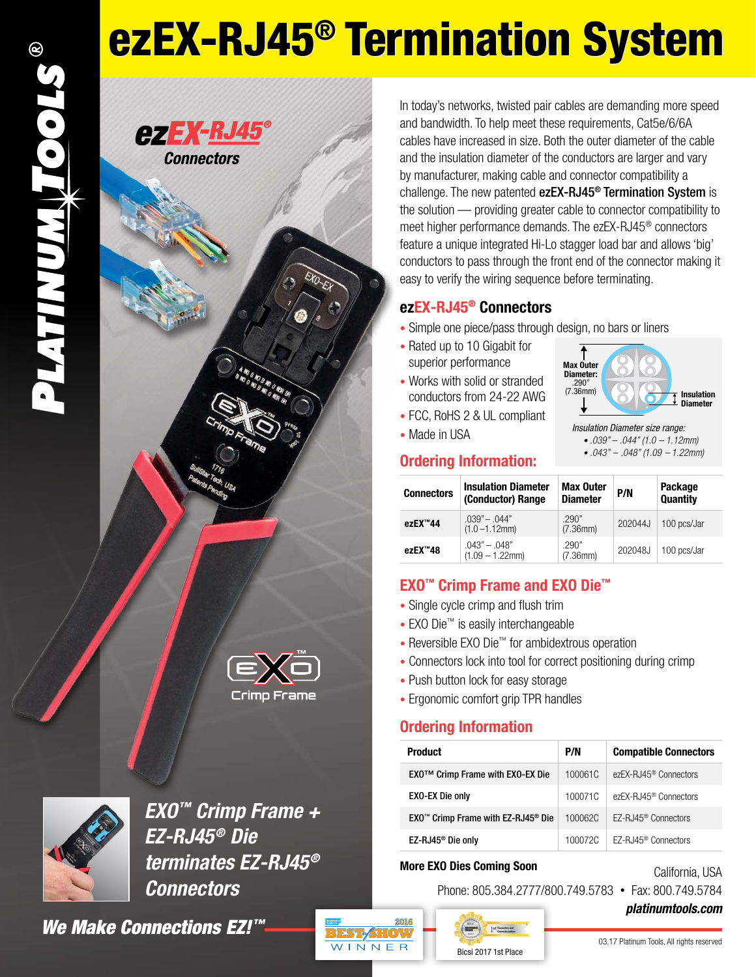# ezEX-RJ45® Termination System

### **CZEX-RJ45 Connectors**





*EXO™ Crimp Frame + EZ-RJ45® Die terminates EZ-RJ45® Connectors*

*We Make Connections EZ!™*

In today's networks, twisted pair cables are demanding more speed and bandwidth. To help meet these requirements, Cat5e/6/6A cables have increased in size. Both the outer diameter of the cable and the insulation diameter of the conductors are larger and vary by manufacturer, making cable and connector compatibility a challenge. The new patented ezEX-RJ45<sup>®</sup> Termination System is the solution — providing greater cable to connector compatibility to meet higher performance demands. The ezEX-RJ45® connectors feature a unique integrated Hi-Lo stagger load bar and allows 'big' conductors to pass through the front end of the connector making it easy to verify the wiring sequence before terminating.

#### **ezEX-RJ45® Connectors**

- Simple one piece/pass through design, no bars or liners
- Rated up to 10 Gigabit for superior performance
- Works with solid or stranded conductors from 24-22 AWG
- FCC, RoHS 2 & UL compliant
- Made in USA



• *.043" – .048" (1.09 – 1.22mm)*

#### **Ordering Information:**

| <b>Connectors</b> | <b>Insulation Diameter</b><br>(Conductor) Range | <b>Max Outer</b><br><b>Diameter</b> | P/N     | Package<br><b>Quantity</b> |  |
|-------------------|-------------------------------------------------|-------------------------------------|---------|----------------------------|--|
| ezEX™44           | $.039" - .044"$<br>$(1.0 - 1.12$ mm)            | .290"<br>(7.36mm)                   | 202044J | 100 pcs/Jar                |  |
| ezEX™48           | $.043" - .048"$<br>$(1.09 - 1.22$ mm            | .290"<br>(7.36mm)                   | 202048J | 100 pcs/Jar                |  |

#### **EXO™ Crimp Frame and EXO Die™**

- Single cycle crimp and flush trim
- EXO Die™ is easily interchangeable
- Reversible EXO Die™ for ambidextrous operation
- Connectors lock into tool for correct positioning during crimp
- Push button lock for easy storage
- Ergonomic comfort grip TPR handles

#### **Ordering Information**

| <b>Product</b>                                             | P/N     | <b>Compatible Connectors</b>      |  |  |
|------------------------------------------------------------|---------|-----------------------------------|--|--|
| EXO™ Crimp Frame with EXO-EX Die                           | 100061C | ezEX-RJ45 <sup>®</sup> Connectors |  |  |
| <b>EXO-EX Die only</b>                                     | 100071C | ezEX-RJ45 <sup>®</sup> Connectors |  |  |
| EXO <sup>™</sup> Crimp Frame with EZ-RJ45 <sup>®</sup> Die | 100062C | EZ-RJ45 <sup>®</sup> Connectors   |  |  |
| EZ-RJ45 <sup>®</sup> Die only                              | 100072C | F7-RJ45 <sup>®</sup> Connectors   |  |  |

#### **More EXO Dies Coming Soon**

Bicsi 2017 1st Place

 $1^{\rm d}$  and  $1^{\rm d}$ 

Phone: 805.384.2777/800.749.5783 • Fax: 800.749.5784



California, USA

03.17 Platinum Tools, All rights reserved